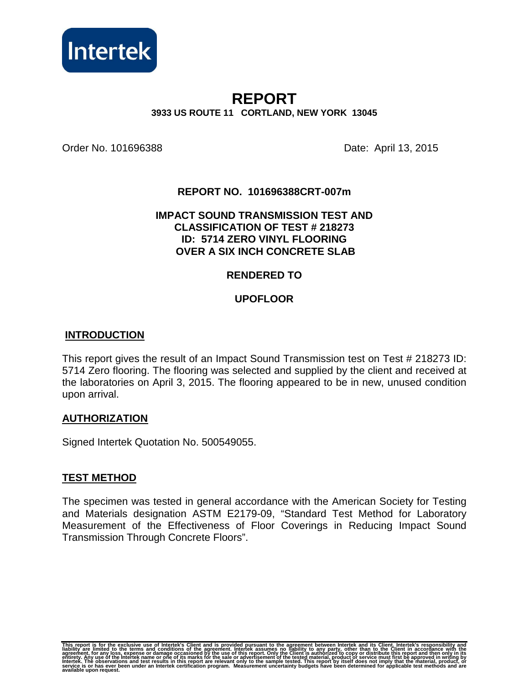

# **REPORT 3933 US ROUTE 11 CORTLAND, NEW YORK 13045**

Order No. 101696388 Date: April 13, 2015

## **REPORT NO. 101696388CRT-007m**

#### **IMPACT SOUND TRANSMISSION TEST AND CLASSIFICATION OF TEST # 218273 ID: 5714 ZERO VINYL FLOORING OVER A SIX INCH CONCRETE SLAB**

## **RENDERED TO**

## **UPOFLOOR**

#### **INTRODUCTION**

This report gives the result of an Impact Sound Transmission test on Test # 218273 ID: 5714 Zero flooring. The flooring was selected and supplied by the client and received at the laboratories on April 3, 2015. The flooring appeared to be in new, unused condition upon arrival.

#### **AUTHORIZATION**

Signed Intertek Quotation No. 500549055.

#### **TEST METHOD**

The specimen was tested in general accordance with the American Society for Testing and Materials designation ASTM E2179-09, "Standard Test Method for Laboratory Measurement of the Effectiveness of Floor Coverings in Reducing Impact Sound Transmission Through Concrete Floors".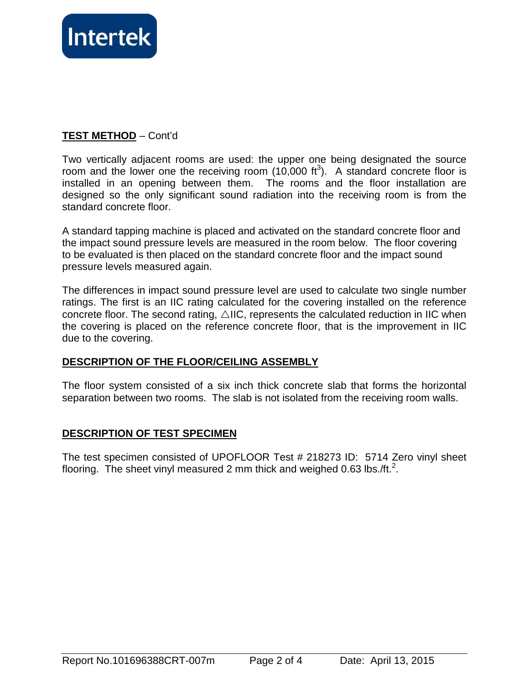

## **TEST METHOD** – Cont'd

Two vertically adjacent rooms are used: the upper one being designated the source room and the lower one the receiving room  $(10,000 \text{ ft}^3)$ . A standard concrete floor is installed in an opening between them. The rooms and the floor installation are designed so the only significant sound radiation into the receiving room is from the standard concrete floor.

A standard tapping machine is placed and activated on the standard concrete floor and the impact sound pressure levels are measured in the room below. The floor covering to be evaluated is then placed on the standard concrete floor and the impact sound pressure levels measured again.

The differences in impact sound pressure level are used to calculate two single number ratings. The first is an IIC rating calculated for the covering installed on the reference concrete floor. The second rating,  $\triangle$ IIC, represents the calculated reduction in IIC when the covering is placed on the reference concrete floor, that is the improvement in IIC due to the covering.

## **DESCRIPTION OF THE FLOOR/CEILING ASSEMBLY**

The floor system consisted of a six inch thick concrete slab that forms the horizontal separation between two rooms. The slab is not isolated from the receiving room walls.

## **DESCRIPTION OF TEST SPECIMEN**

The test specimen consisted of UPOFLOOR Test # 218273 ID: 5714 Zero vinyl sheet flooring. The sheet vinyl measured 2 mm thick and weighed 0.63 lbs./ft.<sup>2</sup>.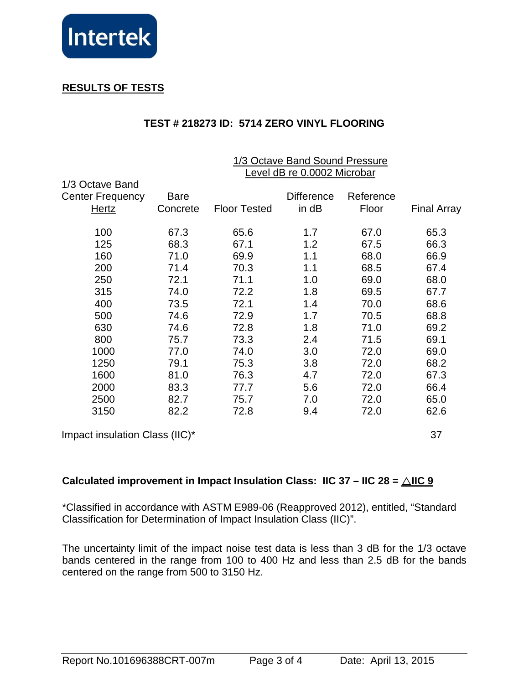

# **RESULTS OF TESTS**

# **TEST # 218273 ID: 5714 ZERO VINYL FLOORING**

|                                | 1/3 Octave Band Sound Pressure<br>Level dB re 0.0002 Microbar |                     |                   |           |                    |
|--------------------------------|---------------------------------------------------------------|---------------------|-------------------|-----------|--------------------|
| 1/3 Octave Band                |                                                               |                     |                   |           |                    |
| <b>Center Frequency</b>        | <b>Bare</b>                                                   |                     | <b>Difference</b> | Reference |                    |
| <b>Hertz</b>                   | Concrete                                                      | <b>Floor Tested</b> | in dB             | Floor     | <b>Final Array</b> |
| 100                            | 67.3                                                          | 65.6                | 1.7               | 67.0      | 65.3               |
| 125                            | 68.3                                                          | 67.1                | 1.2               | 67.5      | 66.3               |
| 160                            | 71.0                                                          | 69.9                | 1.1               | 68.0      | 66.9               |
| 200                            | 71.4                                                          | 70.3                | 1.1               | 68.5      | 67.4               |
| 250                            | 72.1                                                          | 71.1                | 1.0               | 69.0      | 68.0               |
| 315                            | 74.0                                                          | 72.2                | 1.8               | 69.5      | 67.7               |
| 400                            | 73.5                                                          | 72.1                | 1.4               | 70.0      | 68.6               |
| 500                            | 74.6                                                          | 72.9                | 1.7               | 70.5      | 68.8               |
| 630                            | 74.6                                                          | 72.8                | 1.8               | 71.0      | 69.2               |
| 800                            | 75.7                                                          | 73.3                | 2.4               | 71.5      | 69.1               |
| 1000                           | 77.0                                                          | 74.0                | 3.0               | 72.0      | 69.0               |
| 1250                           | 79.1                                                          | 75.3                | 3.8               | 72.0      | 68.2               |
| 1600                           | 81.0                                                          | 76.3                | 4.7               | 72.0      | 67.3               |
| 2000                           | 83.3                                                          | 77.7                | 5.6               | 72.0      | 66.4               |
| 2500                           | 82.7                                                          | 75.7                | 7.0               | 72.0      | 65.0               |
| 3150                           | 82.2                                                          | 72.8                | 9.4               | 72.0      | 62.6               |
| Impact insulation Class (IIC)* |                                                               |                     |                   |           | 37                 |

# **Calculated improvement in Impact Insulation Class: IIC 37 – IIC 28 =**  $\triangle$ **IIC 9**

\*Classified in accordance with ASTM E989-06 (Reapproved 2012), entitled, "Standard Classification for Determination of Impact Insulation Class (IIC)".

The uncertainty limit of the impact noise test data is less than 3 dB for the 1/3 octave bands centered in the range from 100 to 400 Hz and less than 2.5 dB for the bands centered on the range from 500 to 3150 Hz.